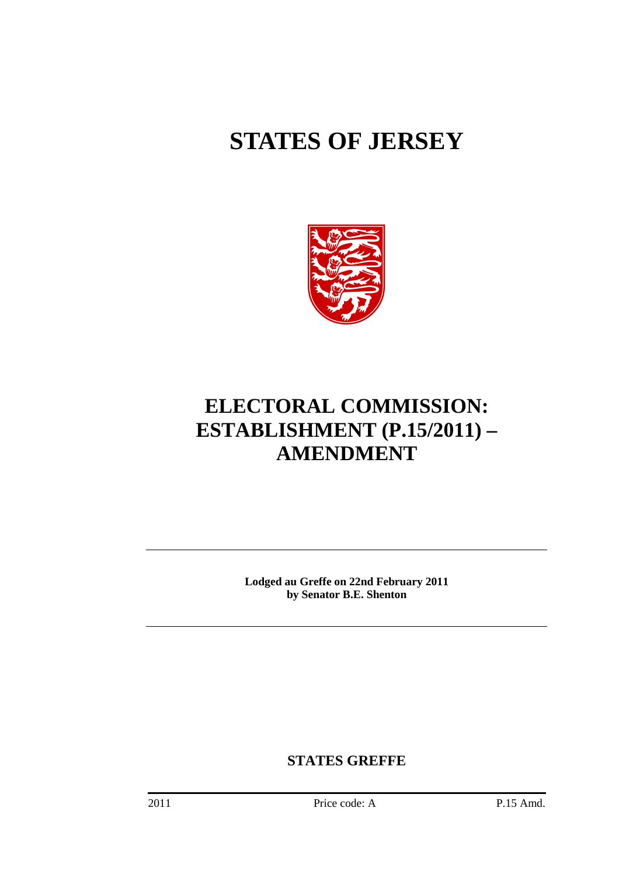# **STATES OF JERSEY**



# **ELECTORAL COMMISSION: ESTABLISHMENT (P.15/2011) – AMENDMENT**

**Lodged au Greffe on 22nd February 2011 by Senator B.E. Shenton** 

**STATES GREFFE**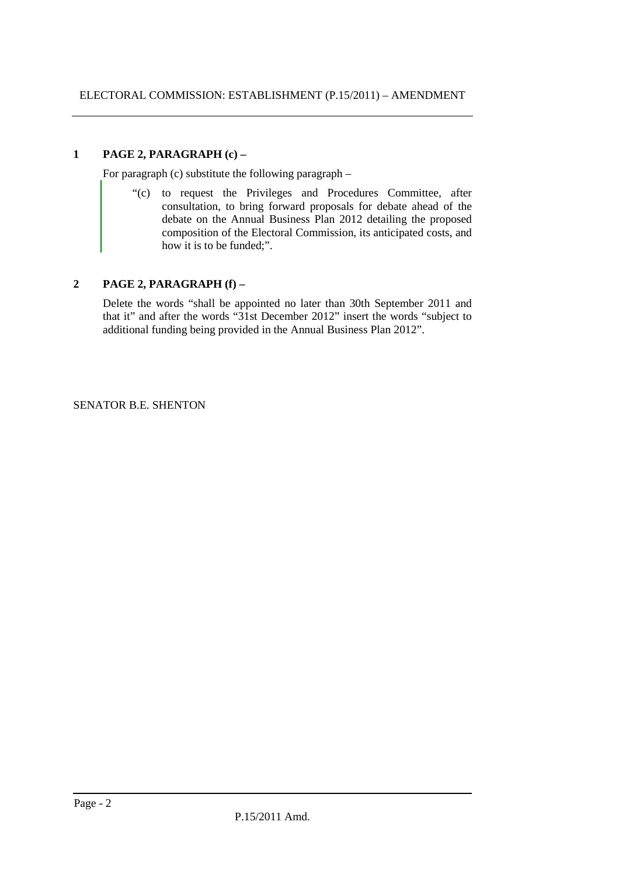## **1 PAGE 2, PARAGRAPH (c) –**

For paragraph (c) substitute the following paragraph –

"(c) to request the Privileges and Procedures Committee, after consultation, to bring forward proposals for debate ahead of the debate on the Annual Business Plan 2012 detailing the proposed composition of the Electoral Commission, its anticipated costs, and how it is to be funded:".

### **2 PAGE 2, PARAGRAPH (f) –**

Delete the words "shall be appointed no later than 30th September 2011 and that it" and after the words "31st December 2012" insert the words "subject to additional funding being provided in the Annual Business Plan 2012".

SENATOR B.E. SHENTON